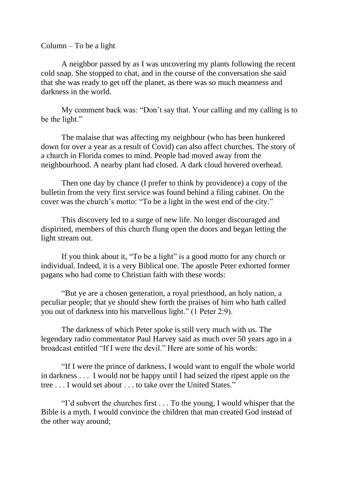## Column – To be a light

A neighbor passed by as I was uncovering my plants following the recent cold snap. She stopped to chat, and in the course of the conversation she said that she was ready to get off the planet, as there was so much meanness and darkness in the world.

My comment back was: "Don't say that. Your calling and my calling is to be the light."

The malaise that was affecting my neighbour (who has been hunkered down for over a year as a result of Covid) can also affect churches. The story of a church in Florida comes to mind. People had moved away from the neighbourhood. A nearby plant had closed. A dark cloud hovered overhead.

Then one day by chance (I prefer to think by providence) a copy of the bulletin from the very first service was found behind a filing cabinet. On the cover was the church's motto: "To be a light in the west end of the city."

This discovery led to a surge of new life. No longer discouraged and dispirited, members of this church flung open the doors and began letting the light stream out.

If you think about it, "To be a light" is a good motto for any church or individual. Indeed, it is a very Biblical one. The apostle Peter exhorted former pagans who had come to Christian faith with these words:

"But ye are a chosen generation, a royal priesthood, an holy nation, a peculiar people; that ye should shew forth the praises of him who hath called you out of darkness into his marvellous light." (1 Peter 2:9).

The darkness of which Peter spoke is still very much with us. The legendary radio commentator Paul Harvey said as much over 50 years ago in a broadcast entitled "If I were the devil." Here are some of his words:

"If I were the prince of darkness, I would want to engulf the whole world in darkness . . . I would not be happy until I had seized the ripest apple on the tree . . . I would set about . . . to take over the United States."

"I'd subvert the churches first . . . To the young, I would whisper that the Bible is a myth. I would convince the children that man created God instead of the other way around;